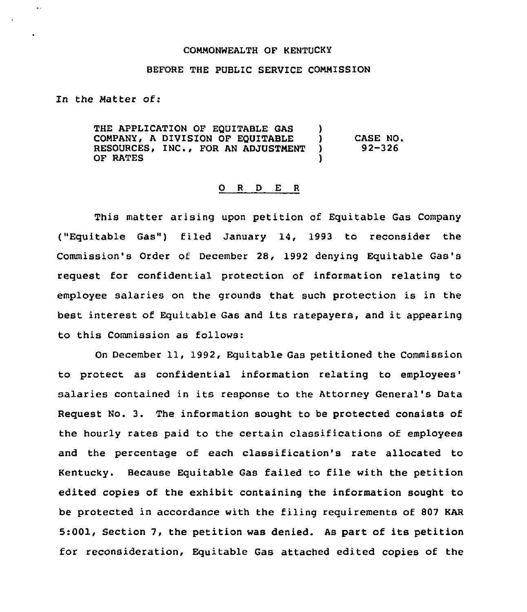## COMMONWEALTH OF KENTUCKY

## BEFORE THE PUBLIC SERVICE COMMISSION

In the Matter of:

 $\ddot{\phantom{a}}$  .

THE APPLICATION OF EQUITABLE GAS  $\rightarrow$  COMPANY, A DIVISION OF EQUITABLE COMPANY, <sup>A</sup> DIVISION OF EQUITABLE ) CASE NO. RESOURCES, INC., FOR AN ADJUSTMENT OF RATES

## 0 <sup>R</sup> <sup>D</sup> E <sup>R</sup>

This matter arising upon petition of Equitable Gas Company ("Equitable Gas") filed January 14, <sup>1993</sup> to reconsider the Commission's Order of December 28, 1992 denying Equitable Gas's request for confidential protection of information relating to employee salaries on the grounds that such protection is in the best interest of Equitable Gas and its ratepayers, and it appearing to this Commission as follows:

On December 11, 1992, Equitable Gas petitioned the Commission to protect as confidential information relating to salaries contained in its response to the Attorney General's Data Request No. 3. The information sought to be protected consists of the hourly rates paid to the certain classifications of employees and the percentage of each classification's rate allocated to Kentucky. Because Equitable Gas failed to file with the petition edited copies of the exhibit containing the information sought to be protected in accordance with the filing requirements of 807 KAR 5:001, Section 7, the petition was denied. As part of its petition for reconsideration, Equitable Gas attached edited copies of the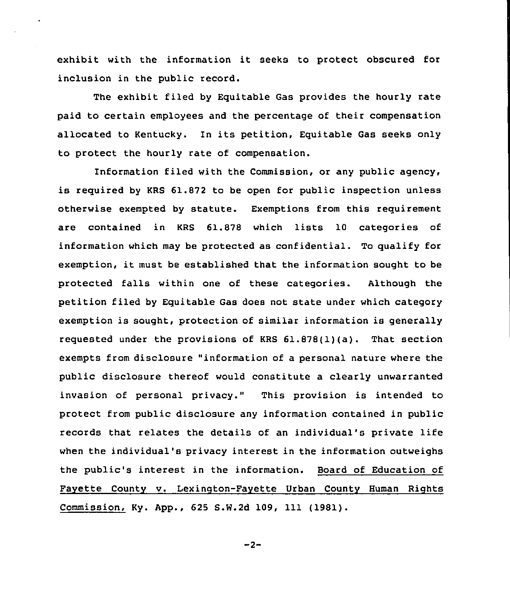exhibit with the information it seeks to protect obscured for inclusion in the public record.

The exhibit filed by Equitable Gas provides the hourly rate paid to certain employees and the percentage of their compensation allocated to Kentucky. In its petition, Equitable Gas seeks only to protect the hourly rate of compensation.

Information filed with the Commission, or any public agency, is required by KRS 61.872 to be open for public inspection unless otherwise exempted by statute. Exemptions from this requirement are contained in KRS 61.878 which lists 10 categories of information which may be protected as confidential. To qualify for exemption, it must be established that the information sought to be protected falls within one of these categories. Although the petition filed by Equitable Gas does not state under which category exemption is sought, protection of similar information is generally requested under the provisions of KRS 61.878(1)(a). That section exempts from disclosure "information of a personal nature where the public disclosure thereof would constitute a clearly unwarranted invasion of personal privacy." This provision is intended to protect from public disclosure any information contained in public records that relates the details of an individual's private life when the individual's privacy interest in the information outweighs the public's interest in the information. Board of Education of Favette County v. Lexinqton-Fayette Urban County Human Riqhts Commission, Ky. App., 625 S.W.2d 109, 111 (1981).

 $-2-$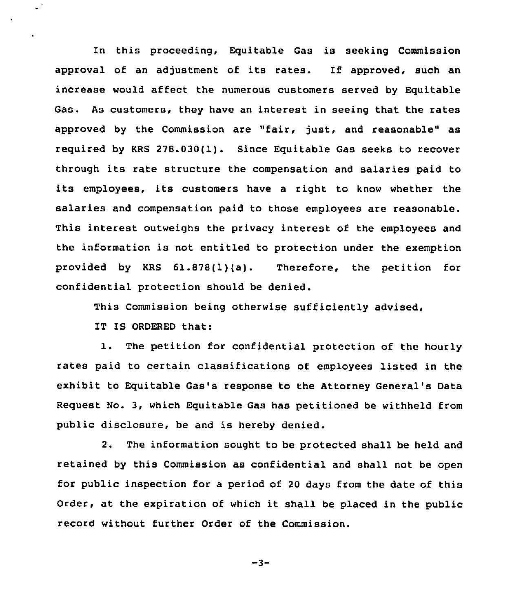In this proceeding, Equitable Gas is seeking Commission approval of an adjustment of its rates. If approved, such an increase would affect the numerous customers served by Equitable Gas. As customers, they have an interest in seeing that the rates approved by the Commission are "fair, just, and reasonable" as required by KRS 278.030(1). Since Equitable Gas seeks to recover through its rate structure the compensation and salaries paid to its employees, its customers have <sup>a</sup> right to know whether the salaries and compensation paid to those employees are reasonable. This interest outweighs the privacy interest of the employees and the information is not entitled to protection under the exemption provided by KRS 61.878(1)(a). Therefore, the petition for confidential protection should be denied.

This Commission being otherwise sufficiently advised,

IT IS ORDERED that:

 $\mathbb{R}^3$ 

 $\hat{\mathbf{r}}$ 

1. The petition for confidential protection of the hourly rates paid to certain classifications of employees listed in the exhibit to Equitable Gas's response to the Attorney General's Data Request No. 3, which Equitable Gas has petitioned be withheld from public disclosure, be and is hereby denied.

2. The information sought to be protected shall be held and retained by this Commission as confidential and shall not be open for public inspection for a period of 20 days from the date of this Order, at the expiration of which it shall be placed in the public record without further Order of the Commission.

$$
-3-
$$